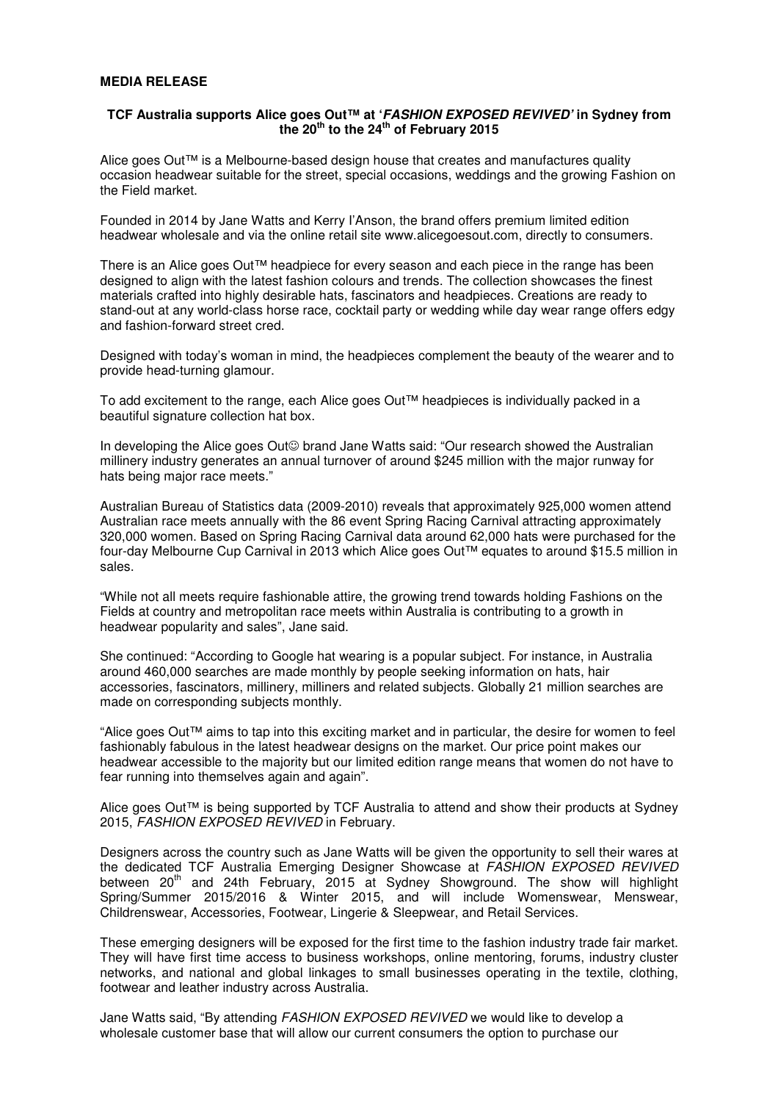## **MEDIA RELEASE**

# **TCF Australia supports Alice goes Out™ at 'FASHION EXPOSED REVIVED' in Sydney from the 20th to the 24th of February 2015**

Alice goes Out™ is a Melbourne-based design house that creates and manufactures quality occasion headwear suitable for the street, special occasions, weddings and the growing Fashion on the Field market.

Founded in 2014 by Jane Watts and Kerry I'Anson, the brand offers premium limited edition headwear wholesale and via the online retail site www.alicegoesout.com, directly to consumers.

There is an Alice goes Out™ headpiece for every season and each piece in the range has been designed to align with the latest fashion colours and trends. The collection showcases the finest materials crafted into highly desirable hats, fascinators and headpieces. Creations are ready to stand-out at any world-class horse race, cocktail party or wedding while day wear range offers edgy and fashion-forward street cred.

Designed with today's woman in mind, the headpieces complement the beauty of the wearer and to provide head-turning glamour.

To add excitement to the range, each Alice goes Out™ headpieces is individually packed in a beautiful signature collection hat box.

In developing the Alice goes Out☺ brand Jane Watts said: "Our research showed the Australian millinery industry generates an annual turnover of around \$245 million with the major runway for hats being major race meets."

Australian Bureau of Statistics data (2009-2010) reveals that approximately 925,000 women attend Australian race meets annually with the 86 event Spring Racing Carnival attracting approximately 320,000 women. Based on Spring Racing Carnival data around 62,000 hats were purchased for the four-day Melbourne Cup Carnival in 2013 which Alice goes Out™ equates to around \$15.5 million in sales.

"While not all meets require fashionable attire, the growing trend towards holding Fashions on the Fields at country and metropolitan race meets within Australia is contributing to a growth in headwear popularity and sales", Jane said.

She continued: "According to Google hat wearing is a popular subject. For instance, in Australia around 460,000 searches are made monthly by people seeking information on hats, hair accessories, fascinators, millinery, milliners and related subjects. Globally 21 million searches are made on corresponding subjects monthly.

"Alice goes Out™ aims to tap into this exciting market and in particular, the desire for women to feel fashionably fabulous in the latest headwear designs on the market. Our price point makes our headwear accessible to the majority but our limited edition range means that women do not have to fear running into themselves again and again".

Alice goes Out™ is being supported by TCF Australia to attend and show their products at Sydney 2015, FASHION EXPOSED REVIVED in February.

Designers across the country such as Jane Watts will be given the opportunity to sell their wares at the dedicated TCF Australia Emerging Designer Showcase at FASHION EXPOSED REVIVED between 20<sup>th</sup> and 24th February, 2015 at Sydney Showground. The show will highlight Spring/Summer 2015/2016 & Winter 2015, and will include Womenswear, Menswear, Childrenswear, Accessories, Footwear, Lingerie & Sleepwear, and Retail Services.

These emerging designers will be exposed for the first time to the fashion industry trade fair market. They will have first time access to business workshops, online mentoring, forums, industry cluster networks, and national and global linkages to small businesses operating in the textile, clothing, footwear and leather industry across Australia.

Jane Watts said, "By attending FASHION EXPOSED REVIVED we would like to develop a wholesale customer base that will allow our current consumers the option to purchase our